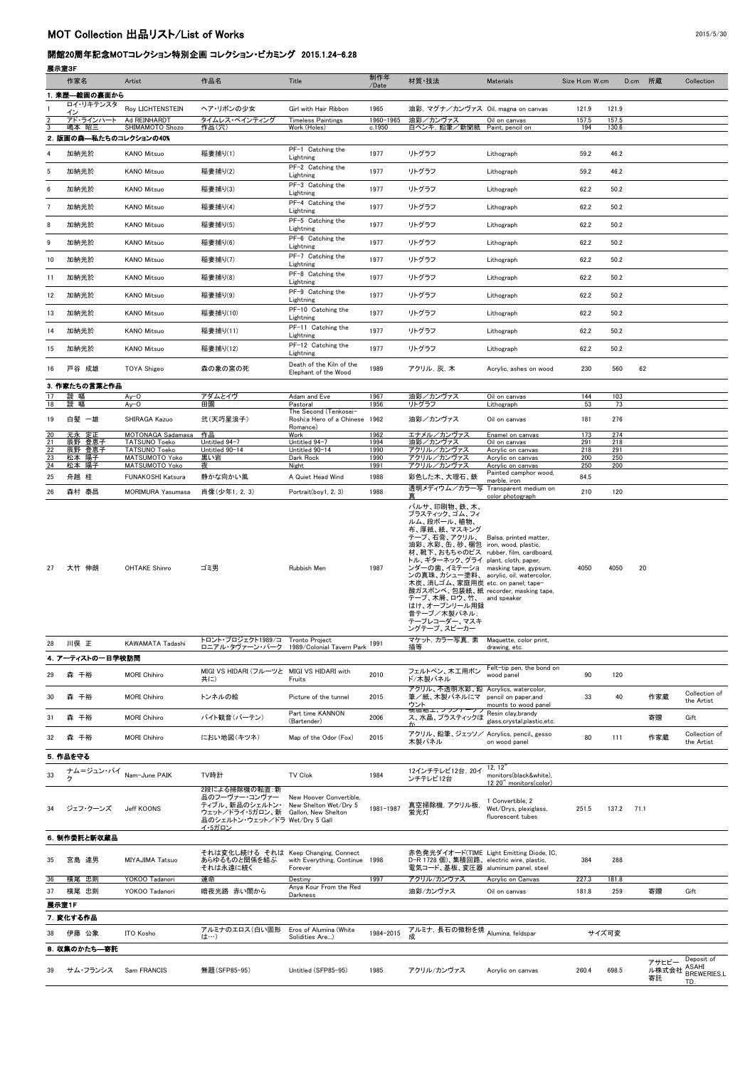## 開館20周年記念MOTコレクション特別企画 コレクション・ビカミング 2015.1.24-6.28

## 展示室3F

|          | 作家名                    | Artist                                            | 作品名                                                                                                                                 | Title                                                   | 制作年<br>/Date        | 材質·技法                                                                                                                                                                                                                                                                                                                                                                                                              | <b>Materials</b>                                               | Size H.cm W.cm |                | D.cm 所蔵              | Collection                                              |
|----------|------------------------|---------------------------------------------------|-------------------------------------------------------------------------------------------------------------------------------------|---------------------------------------------------------|---------------------|--------------------------------------------------------------------------------------------------------------------------------------------------------------------------------------------------------------------------------------------------------------------------------------------------------------------------------------------------------------------------------------------------------------------|----------------------------------------------------------------|----------------|----------------|----------------------|---------------------------------------------------------|
|          | 来歴–絵画の裏面から             |                                                   |                                                                                                                                     |                                                         |                     |                                                                                                                                                                                                                                                                                                                                                                                                                    |                                                                |                |                |                      |                                                         |
|          | ロイ・リキテンスタ<br>イン        | Roy LICHTENSTEIN                                  | ヘア・リボンの少女                                                                                                                           | Girl with Hair Ribbon                                   | 1965                | 油彩, マグナ/カンヴァス Oil, magna on canvas                                                                                                                                                                                                                                                                                                                                                                                 |                                                                | 121.9          | 121.9          |                      |                                                         |
|          | アド・ラインハート<br>嶋本 昭三     | Ad REINHARDT<br>SHIMAMOTO Shozo                   | タイムレス・ペインティング<br>作品(穴)                                                                                                              | <b>Timeless Paintings</b><br>Work (Holes)               | 1960-1965<br>c.1950 | 油彩/カンヴァス<br>白ペンキ, 鉛筆/新聞紙                                                                                                                                                                                                                                                                                                                                                                                           | Oil on canvas<br>Paint, pencil on                              | 157.5<br>194   | 157.5<br>130.6 |                      |                                                         |
|          | 2. 版画の森–私たちのコレクションの40% |                                                   |                                                                                                                                     | PF-1 Catching the                                       |                     |                                                                                                                                                                                                                                                                                                                                                                                                                    |                                                                |                |                |                      |                                                         |
|          | 加納光於                   | <b>KANO Mitsuo</b>                                | 稲妻捕り(1)                                                                                                                             | Lightning                                               | 1977                | リトグラフ                                                                                                                                                                                                                                                                                                                                                                                                              | Lithograph                                                     | 59.2           | 46.2           |                      |                                                         |
| 5        | 加納光於                   | <b>KANO Mitsuo</b>                                | 稲妻捕り(2)                                                                                                                             | PF-2 Catching the<br>Lightning                          | 1977                | リトグラフ                                                                                                                                                                                                                                                                                                                                                                                                              | Lithograph                                                     | 59.2           | 46.2           |                      |                                                         |
| 6        | 加納光於                   | <b>KANO Mitsuo</b>                                | 稲妻捕り(3)                                                                                                                             | PF-3 Catching the<br>Lightning                          | 1977                | リトグラフ                                                                                                                                                                                                                                                                                                                                                                                                              | Lithograph                                                     | 62.2           | 50.2           |                      |                                                         |
|          | 加納光於                   | <b>KANO Mitsuo</b>                                | 稲妻捕り(4)                                                                                                                             | PF-4 Catching the<br>Lightning                          | 1977                | リトグラフ                                                                                                                                                                                                                                                                                                                                                                                                              | Lithograph                                                     | 62.2           | 50.2           |                      |                                                         |
| 8        | 加納光於                   | <b>KANO Mitsuo</b>                                | 稲妻捕り(5)                                                                                                                             | PF-5 Catching the<br>Lightning                          | 1977                | リトグラフ                                                                                                                                                                                                                                                                                                                                                                                                              | Lithograph                                                     | 62.2           | 50.2           |                      |                                                         |
| 9        | 加納光於                   | <b>KANO Mitsuo</b>                                | 稲妻捕り(6)                                                                                                                             | PF-6 Catching the<br>Lightning                          | 1977                | リトグラフ                                                                                                                                                                                                                                                                                                                                                                                                              | Lithograph                                                     | 62.2           | 50.2           |                      |                                                         |
| 10       | 加納光於                   | <b>KANO Mitsuo</b>                                | 稲妻捕り(7)                                                                                                                             | PF-7 Catching the<br>Lightning                          | 1977                | リトグラフ                                                                                                                                                                                                                                                                                                                                                                                                              | Lithograph                                                     | 62.2           | 50.2           |                      |                                                         |
|          | 加納光於                   | <b>KANO Mitsuo</b>                                | 稲妻捕り(8)                                                                                                                             | PF-8 Catching the<br>Lightning                          | 1977                | リトグラフ                                                                                                                                                                                                                                                                                                                                                                                                              | Lithograph                                                     | 62.2           | 50.2           |                      |                                                         |
| 12       | 加納光於                   | <b>KANO Mitsuo</b>                                | 稲妻捕り(9)                                                                                                                             | PF-9 Catching the                                       | 1977                | リトグラフ                                                                                                                                                                                                                                                                                                                                                                                                              | Lithograph                                                     | 62.2           | 50.2           |                      |                                                         |
| 13       | 加納光於                   | <b>KANO Mitsuo</b>                                | 稲妻捕り(10)                                                                                                                            | Lightning<br>PF-10 Catching the                         | 1977                | リトグラフ                                                                                                                                                                                                                                                                                                                                                                                                              | Lithograph                                                     | 62.2           | 50.2           |                      |                                                         |
|          | 加納光於                   | <b>KANO Mitsuo</b>                                |                                                                                                                                     | Lightning<br>PF-11 Catching the                         | 1977                | リトグラフ                                                                                                                                                                                                                                                                                                                                                                                                              |                                                                |                |                |                      |                                                         |
| 14       |                        |                                                   | 稲妻捕り(11)                                                                                                                            | Lightning<br>PF-12 Catching the                         |                     |                                                                                                                                                                                                                                                                                                                                                                                                                    | Lithograph                                                     | 62.2           | 50.2           |                      |                                                         |
| 15       | 加納光於                   | <b>KANO Mitsuo</b>                                | 稲妻捕り(12)                                                                                                                            | Lightning                                               | 1977                | リトグラフ                                                                                                                                                                                                                                                                                                                                                                                                              | Lithograph                                                     | 62.2           | 50.2           |                      |                                                         |
| 16       | 戸谷 成雄                  | <b>TOYA Shigeo</b>                                | 森の象の窯の死                                                                                                                             | Death of the Kiln of the<br>Elephant of the Wood        | 1989                | アクリル, 灰, 木                                                                                                                                                                                                                                                                                                                                                                                                         | Acrylic, ashes on wood                                         | 230            | 560            | 62                   |                                                         |
|          | 3. 作家たちの言葉と作品          |                                                   |                                                                                                                                     |                                                         |                     |                                                                                                                                                                                                                                                                                                                                                                                                                    |                                                                |                |                |                      |                                                         |
| 18       | 靉 嘔<br>靉 嘔             | $Ay-O$<br>$Ay-O$                                  | アダムとイヴ<br>田園                                                                                                                        | Adam and Eve<br>Pastoral                                | 1967<br>1956        | 油彩/カンヴァス<br>リトグラフ                                                                                                                                                                                                                                                                                                                                                                                                  | Oil on canvas<br>Lithograph                                    | 144<br>53      | 103<br>73      |                      |                                                         |
| 19       | 白髪 一雄                  | SHIRAGA Kazuo                                     | 弐(天巧星浪子)                                                                                                                            | The Second (Tenkosei-<br>Roshi:a Hero of a Chinese 1962 |                     | 油彩/カンヴァス                                                                                                                                                                                                                                                                                                                                                                                                           | Oil on canvas                                                  | 181            | 276            |                      |                                                         |
| 20       | 元永定正                   | MOTONAGA Sadamasa                                 | 作品                                                                                                                                  | Romance)<br>Work                                        | 1962                | エナメル/カンヴァス                                                                                                                                                                                                                                                                                                                                                                                                         | Enamel on canvas                                               | 173            | 274            |                      |                                                         |
| 21<br>22 | 辰野 登恵子<br>辰野 登恵子       | <b>TATSUNO Toeko</b><br><b>TATSUNO Toeko</b>      | Untitled 94-7<br>Untitled 90-14                                                                                                     | Untitled 94-7<br>Untitled 90-14                         | 1994<br>1990        | 油彩/カンヴァス<br>アクリル/カンヴァス                                                                                                                                                                                                                                                                                                                                                                                             | Oil on canvas<br>Acrylic on canvas                             | 291<br>218     | 218<br>291     |                      |                                                         |
| 23       | 松本 陽子                  | MATSUMOTO Yoko                                    | 黒い岩                                                                                                                                 | Dark Rock                                               | 1990                | アクリル/カンヴァス                                                                                                                                                                                                                                                                                                                                                                                                         | Acrylic on canvas                                              | 200            | 250            |                      |                                                         |
| 24<br>25 | 松本 陽子<br>舟越 桂          | <b>MATSUMOTO Yoko</b><br><b>FUNAKOSHI Katsura</b> | 夜<br>静かな向かい風                                                                                                                        | Night<br>A Quiet Head Wind                              | 1991<br>1988        | アクリル/カンヴァス<br>彩色した木、大理石、鉄                                                                                                                                                                                                                                                                                                                                                                                          | Acrylic on canvas<br>Painted camphor wood,<br>marble, iron     | 250<br>84.5    | 200            |                      |                                                         |
| 26       | 森村 泰昌                  | <b>MORIMURA Yasumasa</b>                          | 肖像(少年1, 2, 3)                                                                                                                       | Portrait(boy1, 2, 3)                                    | 1988                | 透明メディウム/カラ一写                                                                                                                                                                                                                                                                                                                                                                                                       | Transparent medium on<br>color photograph                      | 210            | 120            |                      |                                                         |
| 27       | 大竹 伸朗                  | <b>OHTAKE Shinro</b>                              | ゴミ男                                                                                                                                 | Rubbish Men                                             | 1987                | プラスティック、ゴム、フィ<br>ルム、段ボール、植物、<br>布、厚紙、紙、マスキング<br>テープ、石膏、アクリル、<br>油彩、水彩、缶、砂、梱包<br>材、靴下、おもちゃのピス rubber, film, cardboard,<br>トル、ギターネック、グライ plant, cloth, paper,<br>ンダーの歯、イミテーショ masking tape, gypsum,<br>ンの真珠、カシュー塗料、 acrylic, oil, watercolor,<br>木炭、消しゴム、家庭用炭 etc. on panel; tape-<br>酸ガスボンベ、包装紙、紙 recorder, masking tape,<br>テープ、木屑、ロウ、竹、 and speaker<br>はけ、オープンリール用録<br>音テープ/木製パネル;<br>テープレコーダー、マスキ<br>ングテープ、スピーカー | Balsa, printed matter,<br>iron, wood, plastic,                 | 4050           | 4050           | 20                   |                                                         |
| 28       | 川俣 正                   | KAWAMATA Tadashi                                  | トロント・プロジェクト1989/コ<br>ロニアル・タヴァーン・パーク                                                                                                 | Tronto Project<br>1989/Colonial Tavern Park 1991        |                     | マケット, カラー写真, 素<br>描等                                                                                                                                                                                                                                                                                                                                                                                               | Maquette, color print,<br>drawing, etc.                        |                |                |                      |                                                         |
|          | 4. アーティストの一日学校訪問       |                                                   |                                                                                                                                     |                                                         |                     |                                                                                                                                                                                                                                                                                                                                                                                                                    |                                                                |                |                |                      |                                                         |
| 29       | 森 千裕                   | <b>MORI Chihiro</b>                               | MIGI VS HIDARI (フルーツと<br>共に)                                                                                                        | MIGI VS HIDARI with<br>Fruits                           | 2010                | フェルトペン、木工用ボン<br>ド/木製パネル                                                                                                                                                                                                                                                                                                                                                                                            | Felt-tip pen, the bond on<br>wood panel                        | 90             | 120            |                      |                                                         |
| 30       | 森 千裕                   | <b>MORI Chihiro</b>                               | トンネルの絵                                                                                                                              | Picture of the tunnel                                   | 2015                | アクリル、不透明水彩、鉛<br>筆/紙、木製パネルにマ                                                                                                                                                                                                                                                                                                                                                                                        | Acrylics, watercolor,<br>pencil on paper, and                  | 33             | 40             | 作家蔵                  | Collection of                                           |
|          |                        |                                                   |                                                                                                                                     | Part time KANNON                                        |                     | ウント<br><b>樹脂粘エ、ノフンナークフ</b>                                                                                                                                                                                                                                                                                                                                                                                         | mounts to wood panel<br>Resin clay, brandy                     |                |                |                      | the Artist                                              |
| -31      | 森 千裕                   | <b>MORI Chihiro</b>                               | バイト観音(バーテン)                                                                                                                         | (Bartender)                                             | 2006                | ス、水晶、プラスティックほ                                                                                                                                                                                                                                                                                                                                                                                                      | glass, crystal, plastic, etc.                                  |                |                | 寄贈                   | Gift                                                    |
| 32       | 森 千裕                   | <b>MORI Chihiro</b>                               | におい地図(キツネ)                                                                                                                          | Map of the Odor (Fox)                                   | 2015                | アクリル、鉛筆、ジェッソ/<br>木製パネル                                                                                                                                                                                                                                                                                                                                                                                             | Acrylics, pencil, gesso<br>on wood panel                       | 80             | 111            | 作家蔵                  | Collection of<br>the Artist                             |
|          | 5. 作品を守る               |                                                   |                                                                                                                                     |                                                         |                     |                                                                                                                                                                                                                                                                                                                                                                                                                    |                                                                |                |                |                      |                                                         |
| 33       | ナム=ジュン・パイ<br>ク         |                                                   | TV時計                                                                                                                                | <b>TV Clok</b>                                          | 1984                | 12インチテレビ12台, 20イ<br>ンチテレビ12台                                                                                                                                                                                                                                                                                                                                                                                       | 12, 12'<br>monitors(black&white),<br>12 20" monitors(color)    |                |                |                      |                                                         |
| 34       | ジェフ・クーンズ               | <b>Jeff KOONS</b>                                 | 2段による掃除機の転置:新<br>品のフーヴァー・コンヴァー<br>ティブル、新品のシェルトン・<br>ウェット/ドライ・5ガロン、新 Gallon, New Shelton<br>品のシェルトン・ウェット/ドラ Wet/Dry 5 Gall<br>イ・5ガロン | New Hoover Convertible,<br>New Shelton Wet/Dry 5        | 1981-1987           | 真空掃除機, アクリル板,<br>蛍光灯                                                                                                                                                                                                                                                                                                                                                                                               | 1 Convertible, 2<br>Wet/Drys, plexiglass,<br>fluorescent tubes | 251.5          | 137.2          | 71.1                 |                                                         |
|          | 6. 制作委託と新収蔵品           |                                                   |                                                                                                                                     |                                                         |                     |                                                                                                                                                                                                                                                                                                                                                                                                                    |                                                                |                |                |                      |                                                         |
| 35       | 宮島 達男                  | <b>MIYAJIMA Tatsuo</b>                            | それは変化し続ける それは Keep Changing, Connect<br>あらゆるものと関係を結ぶ<br>それは永遠に続く                                                                    | with Everything, Continue<br>Forever                    | 1998                | 赤色発光ダイオード(TIME Light Emitting Diode, IC,<br>D-R 1728 個)、集積回路、electric wire, plastic,<br>電気コード、基板、変圧器 aluminum panel, steel                                                                                                                                                                                                                                                                                         |                                                                | 384            | 288            |                      |                                                         |
| 36<br>37 | 横尾 忠則<br>横尾 忠則         | YOKOO Tadanori<br>YOKOO Tadanori                  | 運命<br>暗夜光路 赤い闇から                                                                                                                    | Destiny<br>Anya Kour From the Red                       | 1997                | アクリル/カンヴァス<br>油彩/カンヴァス                                                                                                                                                                                                                                                                                                                                                                                             | Acrylic on Canvas<br>Oil on canvas                             | 227.3<br>181.8 | 181.8<br>259   | 寄贈                   | Gift                                                    |
|          | 展示室1F                  |                                                   |                                                                                                                                     | Darkness                                                |                     |                                                                                                                                                                                                                                                                                                                                                                                                                    |                                                                |                |                |                      |                                                         |
|          | 7. 変化する作品              |                                                   |                                                                                                                                     |                                                         |                     |                                                                                                                                                                                                                                                                                                                                                                                                                    |                                                                |                |                |                      |                                                         |
| 38       | 伊藤 公象                  | ITO Kosho                                         | アルミナのエロス(白い固形<br>は…)                                                                                                                | Eros of Alumina (White<br>Solidities Are)               | 1984-2015           | アルミナ、長石の微粉を焼<br>成                                                                                                                                                                                                                                                                                                                                                                                                  | Alumina, feldspar                                              |                | サイズ可変          |                      |                                                         |
|          | 8. 収集のかたち––寄託          |                                                   |                                                                                                                                     |                                                         |                     |                                                                                                                                                                                                                                                                                                                                                                                                                    |                                                                |                |                |                      |                                                         |
| 39       | サム・フランシス               | Sam FRANCIS                                       | 無題(SFP85-95)                                                                                                                        | Untitled (SFP85-95)                                     | 1985                | アクリル/カンヴァス                                                                                                                                                                                                                                                                                                                                                                                                         | Acrylic on canvas                                              | 260.4          | 698.5          | アサヒビー<br>ル株式会社<br>寄託 | Deposit of<br><b>ASAHI</b><br><b>BREWERIES,L</b><br>TD. |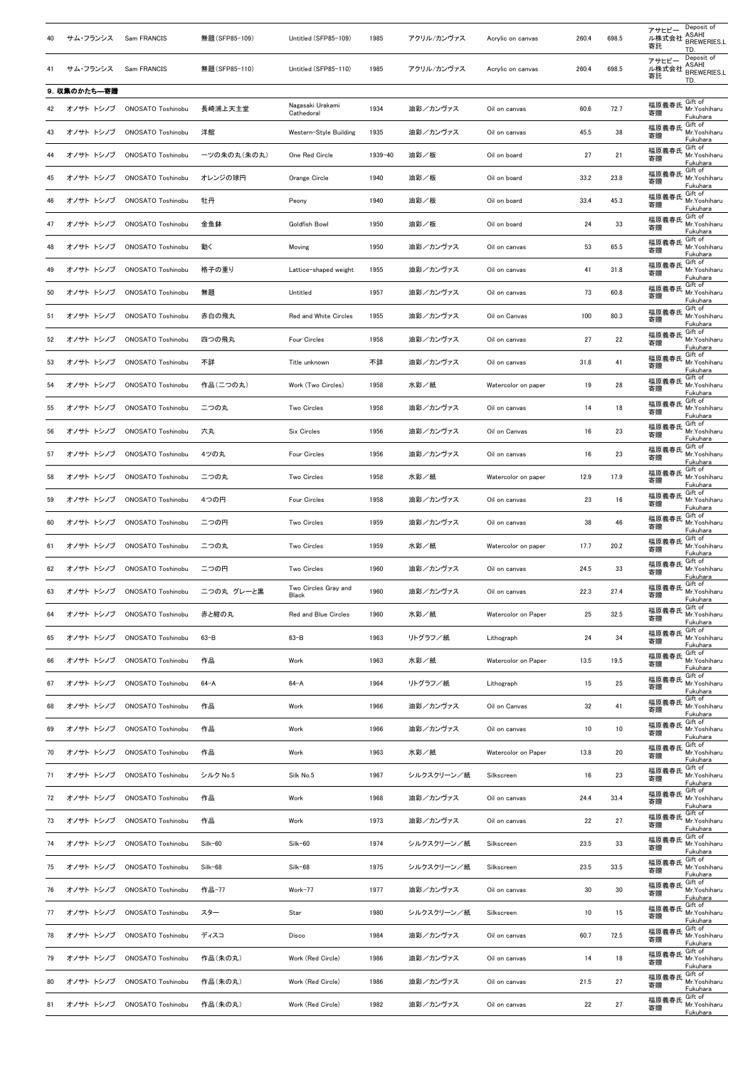| 40  | サム・フランシス      | Sam FRANCIS               | 無題(SFP85-109) | Untitled (SFP85-109)                 | 1985    | アクリル/カンヴァス | Acrylic on canvas   | 260.4           | 698.5           | Deposit of<br>アサヒビー<br><b>ASAHI</b><br>ル株式会社<br><b>BREWERIES,L</b><br>寄託<br>TD. |
|-----|---------------|---------------------------|---------------|--------------------------------------|---------|------------|---------------------|-----------------|-----------------|---------------------------------------------------------------------------------|
| 41  | サム・フランシス      | Sam FRANCIS               | 無題(SFP85-110) | Untitled (SFP85-110)                 | 1985    | アクリル/カンヴァス | Acrylic on canvas   | 260.4           | 698.5           | Deposit of<br>アサヒビー<br><b>ASAHI</b><br>ル株式会社<br><b>BREWERIES,L</b><br>寄託        |
|     | 9. 収集のかたち––寄贈 |                           |               |                                      |         |            |                     |                 |                 | TD.                                                                             |
|     | オノサト トシノブ     | <b>ONOSATO Toshinobu</b>  | 長崎浦上天主堂       | Nagasaki Urakami<br>Cathedoral       | 1934    | 油彩/カンヴァス   | Oil on canvas       | 60.6            | 72.7            | Gift of<br>福原義春氏<br>Mr.Yoshiharu<br>寄贈<br>Fukuhara                              |
|     | オノサト トシノブ     | <b>ONOSATO Toshinobu</b>  | 洋館            | Western-Style Building               | 1935    | 油彩/カンヴァス   | Oil on canvas       | 45.5            | 38              | Gift of<br>福原義春氏<br>Mr.Yoshiharu<br>寄贈<br>Fukuhara                              |
|     | オノサト トシノブ     | <b>ONOSATO Toshinobu</b>  | 一ツの朱の丸(朱の丸)   | One Red Circle                       | 1939-40 | 油彩/板       | Oil on board        | 27              | 21              | Gift of<br>福原義春氏<br>Mr.Yoshiharu<br>寄贈<br>Fukuhara                              |
| 45  | オノサト トシノブ     | <b>ONOSATO Toshinobu</b>  | オレンジの球円       | Orange Circle                        | 1940    | 油彩/板       | Oil on board        | 33.2            | 23.8            | Gift of<br>福原義春氏<br>Mr.Yoshiharu<br>寄贈<br>Fukuhara                              |
| 46. | オノサト トシノブ     | <b>ONOSATO Toshinobu</b>  | 牡丹            | Peony                                | 1940    | 油彩/板       | Oil on board        | 33.4            | 45.3            | Gift of<br>福原義春氏<br>Mr.Yoshiharu<br>寄贈<br>Fukuhara                              |
|     | オノサト トシノブ     | <b>ONOSATO Toshinobu</b>  | 金魚鉢           | <b>Goldfish Bowl</b>                 | 1950    | 油彩/板       | Oil on board        | 24              | 33              | Gift of<br>福原義春氏<br>Mr.Yoshiharu<br>寄贈<br>Fukuhara                              |
| 48  | オノサト トシノブ     | <b>ONOSATO Toshinobu</b>  | 動く            | Moving                               | 1950    | 油彩/カンヴァス   | Oil on canvas       | 53              | 65.5            | Gift of<br>福原義春氏<br>Mr.Yoshiharu<br>寄贈<br>Fukuhara                              |
| 49  | オノサト トシノブ     | ONOSATO Toshinobu         | 格子の重り         | Lattice-shaped weight                | 1955    | 油彩/カンヴァス   | Oil on canvas       | 41              | 31.8            | Gift of<br>福原義春氏<br>Mr.Yoshiharu<br>寄贈<br>Fukuhara                              |
| 50  | オノサト トシノブ     | <b>ONOSATO Toshinobu</b>  | 無題            | Untitled                             | 1957    | 油彩/カンヴァス   | Oil on canvas       | 73              | 60.8            | Gift of<br>福原義春氏<br>Mr.Yoshiharu<br>寄贈<br>Fukuhara                              |
| -51 | オノサト トシノブ     | <b>ONOSATO Toshinobu</b>  | 赤白の飛丸         | Red and White Circles                | 1955    | 油彩/カンヴァス   | Oil on Canvas       | 100             | 80.3            | Gift of<br>福原義春氏<br>Mr.Yoshiharu<br>寄贈<br>Fukuhara                              |
| 52  | オノサト トシノブ     | <b>ONOSATO Toshinobu</b>  | 四つの飛丸         | <b>Four Circles</b>                  | 1958    | 油彩/カンヴァス   | Oil on canvas       | 27              | 22              | Gift of<br>福原義春氏<br>Mr.Yoshiharu<br>寄贈<br>Fukuhara                              |
| 53  | オノサト トシノブ     | <b>ONOSATO Toshinobu</b>  | 不詳            | Title unknown                        | 不詳      | 油彩/カンヴァス   | Oil on canvas       | 31.8            | 41              | Gift of<br>福原義春氏<br>Mr.Yoshiharu<br>寄贈                                          |
| 54  | オノサト トシノブ     | <b>ONOSATO Toshinobu</b>  | 作品(二つの丸)      | Work (Two Circles)                   | 1958    | 水彩/紙       | Watercolor on paper | 19              | 28              | Fukuhara<br>Gift of<br>福原義春氏<br>Mr.Yoshiharu<br>寄贈<br>Fukuhara                  |
| 55  | オノサト トシノブ     | <b>ONOSATO Toshinobu</b>  | 二つの丸          | Two Circles                          | 1958    | 油彩/カンヴァス   | Oil on canvas       | 14              | 18              | Gift of<br>福原義春氏<br>Mr.Yoshiharu<br>寄贈<br>Fukuhara                              |
| 56  | オノサト トシノブ     | <b>ONOSATO Toshinobu</b>  | 六丸            | Six Circles                          | 1956    | 油彩/カンヴァス   | Oil on Canvas       | 16              | 23              | Gift of<br>福原義春氏<br>Mr.Yoshiharu<br>寄贈<br>Fukuhara                              |
| 57  | オノサト トシノブ     | <b>ONOSATO Toshinobu</b>  | 4ツの丸          | <b>Four Circles</b>                  | 1956    | 油彩/カンヴァス   | Oil on canvas       | 16              | 23              | Gift of<br>福原義春氏<br>Mr.Yoshiharu<br>寄贈<br>Fukuhara                              |
| 58  | オノサト トシノブ     | ONOSATO Toshinobu         | 二つの丸          | Two Circles                          | 1958    | 水彩/紙       | Watercolor on paper | 12.9            | 17.9            | Gift of<br>福原義春氏<br>Mr.Yoshiharu<br>寄贈<br>Fukuhara                              |
| 59  | オノサト トシノブ     | <b>ONOSATO Toshinobu</b>  | 4つの円          | Four Circles                         | 1958    | 油彩/カンヴァス   | Oil on canvas       | 23              | 16              | Gift of<br>福原義春氏<br>Mr.Yoshiharu<br>寄贈<br>Fukuhara                              |
| 60  | オノサト トシノブ     | <b>ONOSATO Toshinobu</b>  | 二つの円          | Two Circles                          | 1959    | 油彩/カンヴァス   | Oil on canvas       | 38              | 46              | Gift of<br>福原義春氏<br>Mr.Yoshiharu<br>寄贈                                          |
| 61  | オノサト トシノブ     | <b>ONOSATO Toshinobu</b>  | 二つの丸          | Two Circles                          | 1959    | 水彩/紙       | Watercolor on paper | 17.7            | 20.2            | Fukuhara<br>Gift of<br>福原義春氏<br>Mr.Yoshiharu<br>寄贈                              |
| 62  | オノサト トシノブ     | <b>ONOSATO Toshinobu</b>  | 二つの円          | Two Circles                          | 1960    | 油彩/カンヴァス   | Oil on canvas       | 24.5            | 33              | Fukuhara<br>Gift of<br>福原義春氏<br>Mr.Yoshiharu<br>寄贈                              |
| 63  | オノサト トシノブ     | ONOSATO Toshinobu         | 二つの丸 グレーと黒    | Two Circles Gray and<br><b>Black</b> | 1960    | 油彩/カンヴァス   | Oil on canvas       | 22.3            | 27.4            | Fukuhara<br>寄贈<br>Fukuhara                                                      |
| 64  | オノサト トシノブ     | ONOSATO Toshinobu         | 赤と紺の丸         | Red and Blue Circles                 | 1960    | 水彩/紙       | Watercolor on Paper | 25              | 32.5            | Gift of<br>福原義春氏<br>Mr.Yoshiharu<br>寄贈<br>Fukuhara                              |
| 65  | オノサト トシノブ     | <b>ONOSATO Toshinobu</b>  | $63 - B$      | $63 - B$                             | 1963    | リトグラフ/紙    | Lithograph          | 24              | 34              | Gift of<br>福原義春氏<br>Mr.Yoshiharu<br>寄贈<br>Fukuhara                              |
| 66  | オノサト トシノブ     | <b>ONOSATO Toshinobu</b>  | 作品            | Work                                 | 1963    | 水彩/紙       | Watercolor on Paper | 13.5            | 19.5            | Gift of<br>福原義春氏<br>Mr.Yoshiharu<br>寄贈<br>Fukuhara                              |
| 67  | オノサト トシノブ     | <b>ONOSATO Toshinobu</b>  | 64-A          | $64 - A$                             | 1964    | リトグラフ/紙    | Lithograph          | 15              | 25              | Gift of<br>福原義春氏<br>Mr.Yoshiharu<br>寄贈<br>Fukuhara                              |
| 68  | オノサト トシノブ     | <b>ONOSATO Toshinobu</b>  | 作品            | Work                                 | 1966    | 油彩/カンヴァス   | Oil on Canvas       | 32              | 41              | Gift of<br>福原義春氏<br>Mr.Yoshiharu<br>寄贈<br>Fukuhara                              |
| 69  | オノサト トシノブ     | <b>ONOSATO Toshinobu</b>  | 作品            | Work                                 | 1966    | 油彩/カンヴァス   | Oil on canvas       | 10              | 10              | Gift of<br>福原義春氏<br>Mr.Yoshiharu<br>寄贈<br>Fukuhara                              |
|     | オノサト トシノブ     | ONOSATO Toshinobu         | 作品            | Work                                 | 1963    | 水彩/紙       | Watercolor on Paper | 13.8            | 20              | Gift of<br>福原義春氏<br>Mr.Yoshiharu<br>寄贈<br>Fukuhara                              |
| 71  | オノサト トシノブ     | ONOSATO Toshinobu         | シルク No.5      | Silk No.5                            | 1967    | シルクスクリーン/紙 | Silkscreen          | 16              | 23              | Gift of<br>福原義春氏<br>Mr.Yoshiharu<br>寄贈<br>Fukuhara                              |
| 72  | オノサト トシノブ     | <b>ONOSATO Toshinobu</b>  | 作品            | Work                                 | 1968    | 油彩/カンヴァス   | Oil on canvas       | 24.4            | 33.4            | Gift of<br>福原義春氏<br>Mr.Yoshiharu<br>寄贈<br>Fukuhara                              |
| 73  | オノサト トシノブ     | <b>ONOSATO Toshinobu</b>  | 作品            | Work                                 | 1973    | 油彩/カンヴァス   | Oil on canvas       | 22              | 27              | Gift of<br>福原義春氏<br>Mr.Yoshiharu<br>寄贈<br>Fukuhara                              |
| 74  | オノサト トシノブ     | ONOSATO Toshinobu         | Silk-60       | $Silk-60$                            | 1974    | シルクスクリーン/紙 | Silkscreen          | 23.5            | 33              | Gift of<br>福原義春氏<br>Mr.Yoshiharu<br>寄贈<br>Fukuhara                              |
| 75  | オノサト トシノブ     | ONOSATO Toshinobu Silk-68 |               | Silk-68                              | 1975    | シルクスクリーン/紙 | Silkscreen          | 23.5            | 33.5            | Gift of<br>福原義春氏<br>Mr.Yoshiharu<br>寄贈                                          |
| 76  | オノサト トシノブ     | ONOSATO Toshinobu         | 作品-77         | Work-77                              | 1977    | 油彩/カンヴァス   | Oil on canvas       | 30 <sup>°</sup> | 30 <sup>°</sup> | <b>Fukuhara</b><br>Gift of<br>福原義春氏<br>Mr.Yoshiharu<br>寄贈<br>Fukuhara           |
| 77  | オノサト トシノブ     | ONOSATO Toshinobu         | スター           | Star                                 | 1980    | シルクスクリーン/紙 | Silkscreen          | 10              | 15              | Gift of<br>福原義春氏<br>Mr.Yoshiharu<br>寄贈<br>Fukuhara                              |
| 78  | オノサト トシノブ     | ONOSATO Toshinobu         | ディスコ          | Disco                                | 1984    | 油彩/カンヴァス   | Oil on canvas       | 60.7            | 72.5            | Gift of<br>福原義春氏<br>Mr.Yoshiharu<br>寄贈                                          |
| 79  | オノサト トシノブ     | <b>ONOSATO Toshinobu</b>  | 作品(朱の丸)       | Work (Red Circle)                    | 1986    | 油彩/カンヴァス   | Oil on canvas       | 14              | 18              | Fukuhara<br>Gift of<br>福原義春氏<br>Mr.Yoshiharu<br>寄贈<br>Fukuhara                  |
| 80. | オノサト トシノブ     | ONOSATO Toshinobu         | 作品(朱の丸)       | Work (Red Circle)                    | 1986    | 油彩/カンヴァス   | Oil on canvas       | 21.5            | 27              | Gift of<br>福原義春氏<br>Mr.Yoshiharu<br>寄贈<br>Fukuhara                              |
| 81  | オノサト トシノブ     | ONOSATO Toshinobu         | 作品(朱の丸)       | Work (Red Circle)                    | 1982    | 油彩/カンヴァス   | Oil on canvas       | 22              | 27              | Gift of<br>福原義春氏<br>Mr.Yoshiharu<br>寄贈<br><b>Fukuhara</b>                       |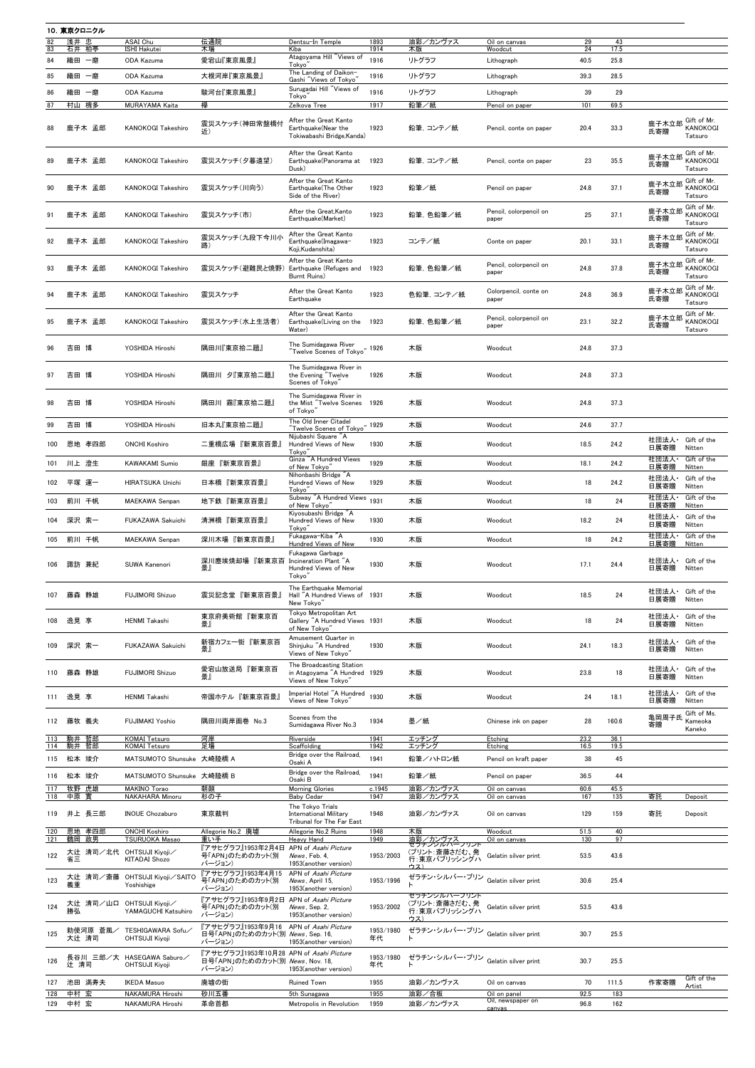|            | 10. 東京クロニクル    |                   |                                                                     |                                                                                             |                                                                                         |                        |                                                           |                                 |              |              |               |                                           |
|------------|----------------|-------------------|---------------------------------------------------------------------|---------------------------------------------------------------------------------------------|-----------------------------------------------------------------------------------------|------------------------|-----------------------------------------------------------|---------------------------------|--------------|--------------|---------------|-------------------------------------------|
| 82<br>83   | 浅井 忠<br>石井 柏亭  |                   | ASAI Chu<br><b>ISHI Hakutei</b>                                     | 伝通院<br>木場                                                                                   | Dentsu-In Temple<br>Kiba                                                                | 1893<br>1914           | 油彩/カンヴァス<br>木版                                            | Oil on canvas<br>Woodcut        | 29<br>24     | 43<br>17.5   |               |                                           |
| 84         | 織田             | 一磨                | ODA Kazuma                                                          | 愛宕山『東京風景』                                                                                   | Atagoyama Hill "Views of                                                                | 1916                   | リトグラフ                                                     | Lithograph                      | 40.5         | 25.8         |               |                                           |
|            |                |                   |                                                                     |                                                                                             | Tokyo'<br>The Landing of Daikon-                                                        |                        |                                                           |                                 |              |              |               |                                           |
| 85         | 織田             | 一磨                | ODA Kazuma                                                          | 大根河岸『東京風景』                                                                                  | Gashi "Views of Tokyo"                                                                  | 1916                   | リトグラフ                                                     | Lithograph                      | 39.3         | 28.5         |               |                                           |
| 86         | 織田             | 一磨                | ODA Kazuma                                                          | 駿河台『東京風景』                                                                                   | Surugadai Hill "Views of<br>Tokyo                                                       | 1916                   | リトグラフ                                                     | Lithograph                      | 39           | 29           |               |                                           |
| 87         | 村山 槐多          |                   | MURAYAMA Kaita                                                      | 欅                                                                                           | Zelkova Tree                                                                            | 1917                   | 鉛筆/紙                                                      | Pencil on paper                 | 101          | 69.5         |               |                                           |
| 88         |                | 鹿子木 孟郎            | <b>KANOKOGI Takeshiro</b>                                           | 震災スケッチ(神田常盤橋付<br>近)                                                                         | After the Great Kanto<br>Earthquake(Near the<br>Tokiwabashi Bridge, Kanda)              | 1923                   | 鉛筆, コンテ/紙                                                 | Pencil, conte on paper          | 20.4         | 33.3         | 鹿子木立郎<br>氏寄贈  | Gift of Mr.<br>KANOKOGI<br>Tatsuro        |
| 89         |                | 鹿子木 孟郎            | <b>KANOKOGI Takeshiro</b>                                           | 震災スケッチ(夕暮遠望)                                                                                | After the Great Kanto<br>Earthquake(Panorama at<br>Dusk)                                | 1923                   | 鉛筆, コンテ/紙                                                 | Pencil, conte on paper          | 23           | 35.5         | 鹿子木立郎<br>氏寄贈  | Gift of Mr.<br><b>KANOKOGI</b><br>Tatsuro |
|            |                | 鹿子木 孟郎            | <b>KANOKOGI Takeshiro</b>                                           | 震災スケッチ(川向う)                                                                                 | After the Great Kanto<br>Earthquake(The Other<br>Side of the River)                     | 1923                   | 鉛筆/紙                                                      | Pencil on paper                 | 24.8         | 37.1         | 鹿子木立郎<br>氏寄贈  | Gift of Mr.<br>KANOKOGI<br>Tatsuro        |
| 91         |                | 鹿子木 孟郎            | <b>KANOKOGI Takeshiro</b>                                           | 震災スケッチ(市)                                                                                   | After the Great.Kanto<br>Earthquake(Market)                                             | 1923                   | 鉛筆, 色鉛筆/紙                                                 | Pencil, colorpencil on<br>paper | 25           | 37.1         | 鹿子木立郎<br>氏寄贈  | Gift of Mr.<br>KANOKOGI<br>Tatsuro        |
| 92         |                | 鹿子木 孟郎            | <b>KANOKOGI Takeshiro</b>                                           | 震災スケッチ(九段下今川小<br>路)                                                                         | After the Great Kanto<br>Earthquake(Imagawa-<br>Koji, Kudanshita)                       | 1923                   | コンテ/紙                                                     | Conte on paper                  | 20.1         | 33.1         | 鹿子木立郎<br>氏寄贈  | Gift of Mr.<br>KANOKOGI<br>Tatsuro        |
| 93         |                | 鹿子木 孟郎            | <b>KANOKOGI Takeshiro</b>                                           | 震災スケッチ(避難民と焼野)                                                                              | After the Great Kanto<br>Earthquake (Refuges and<br>Burnt Ruins)                        | 1923                   | 鉛筆, 色鉛筆/紙                                                 | Pencil, colorpencil on<br>paper | 24.8         | 37.8         | 鹿子木立郎<br>氏寄贈  | Gift of Mr.<br><b>KANOKOGI</b><br>Tatsuro |
| 94         |                | 鹿子木 孟郎            | <b>KANOKOGI Takeshiro</b>                                           | 震災スケッチ                                                                                      | After the Great Kanto<br>Earthquake                                                     | 1923                   | 色鉛筆, コンテ/紙                                                | Colorpencil, conte on<br>paper  | 24.8         | 36.9         | 鹿子木立郎<br>氏寄贈  | Gift of Mr.<br>KANOKOGI<br>Tatsuro        |
| 95         |                | 鹿子木 孟郎            | <b>KANOKOGI Takeshiro</b>                                           | 震災スケッチ(水上生活者)                                                                               | After the Great Kanto<br>Earthquake(Living on the<br>Water)                             | 1923                   | 鉛筆, 色鉛筆/紙                                                 | Pencil, colorpencil on<br>paper | 23.1         | 32.2         | 鹿子木立郎<br>氏寄贈  | Gift of Mr.<br>KANOKOGI<br>Tatsuro        |
| 96         | 吉田             | 博                 | YOSHIDA Hiroshi                                                     | 隅田川『東京拾二題』                                                                                  | The Sumidagawa River<br>Twelve Scenes of Tokyo"                                         | .4926                  | 木版                                                        | Woodcut                         | 24.8         | 37.3         |               |                                           |
| 97         | 吉田 博           |                   | YOSHIDA Hiroshi                                                     | 隅田川 夕『東京拾二題』                                                                                | The Sumidagawa River in<br>the Evening "Twelve<br>Scenes of Tokyo'                      | 1926                   | 木版                                                        | Woodcut                         | 24.8         | 37.3         |               |                                           |
| 98         | 吉田             | 博                 | YOSHIDA Hiroshi                                                     | 霧『東京拾二題』<br>隅田川                                                                             | The Sumidagawa River in<br>the Mist "Twelve Scenes<br>of Tokyo"                         | 1926                   | 木版                                                        | Woodcut                         | 24.8         | 37.3         |               |                                           |
| 99         | 吉田 博           |                   | YOSHIDA Hiroshi                                                     | 旧本丸『東京拾二題』                                                                                  | The Old Inner Citadel                                                                   | "1929                  | 木版                                                        | Woodcut                         | 24.6         | 37.7         |               |                                           |
|            |                |                   |                                                                     |                                                                                             | $\H$ Twelve Scenes of Tokyo $\H$<br>Nijubashi Square "A                                 |                        |                                                           |                                 |              |              | 社団法人·         | Gift of the                               |
| 100        |                | 恩地 孝四郎            | <b>ONCHI Koshiro</b>                                                | 二重橋広場『新東京百景』                                                                                | Hundred Views of New<br>Tokyo'                                                          | 1930                   | 木版                                                        | Woodcut                         | 18.5         | 24.2         | 日展寄贈          | Nitten                                    |
| 101        |                | 川上 澄生             | <b>KAWAKAMI Sumio</b>                                               | 銀座 『新東京百景』                                                                                  | Ginza "A Hundred Views<br>of New Tokyo'                                                 | 1929                   | 木版                                                        | Woodcut                         | 18.1         | 24.2         | 社団法人·<br>日展寄贈 | Gift of the<br>Nitten                     |
|            |                |                   |                                                                     |                                                                                             | Nihonbashi Bridge "A                                                                    |                        |                                                           |                                 |              |              | 社団法人·         | Gift of the                               |
| 102        |                | 平塚 運一             | <b>HIRATSUKA Unichi</b>                                             | 日本橋『新東京百景』                                                                                  | Hundred Views of New<br>Tokyo'                                                          | 1929                   | 木版                                                        | Woodcut                         | 18           | 24.2         | 日展寄贈          | Nitten                                    |
| 103        | 前川 千帆          |                   | <b>MAEKAWA Senpan</b>                                               | 地下鉄『新東京百景』                                                                                  | Subway "A Hundred Views 1931<br>of New Tokyo"                                           |                        | 木版                                                        | Woodcut                         | 18           | 24           | 社団法人·<br>日展寄贈 | Gift of the<br>Nitten                     |
| 104        | 深沢 索一          |                   | FUKAZAWA Sakuichi                                                   | 清洲橋『新東京百景』                                                                                  | Kiyosubashi Bridge "A<br>Hundred Views of New                                           | 1930                   | 木版                                                        | Woodcut                         | 18.2         | 24           | 社団法人・         | Gift of the                               |
|            |                |                   |                                                                     |                                                                                             | Tokyo <sup>"</sup>                                                                      |                        |                                                           |                                 |              |              | 日展寄贈          | Nitten                                    |
| 105        | 前川 千帆          |                   | <b>MAEKAWA Senpan</b>                                               | 深川木場『新東京百景』                                                                                 | Fukagawa-Kiba "A<br>Hundred Views of New                                                | 1930                   | 木版                                                        | Woodcut                         | 18           | 24.2         | 社団法人·<br>日展寄贈 | Gift of the<br>Nitten                     |
| 106        |                | 諏訪 兼紀             | SUWA Kanenori                                                       | 深川塵埃焼却場 『新東京百<br>景』                                                                         | Fukagawa Garbage<br>Incineration Plant "A<br>Hundred Views of New<br>Tokyo <sup>"</sup> | 1930                   | 木版                                                        | Woodcut                         | 17.1         | 24.4         | 社団法人·<br>日展寄贈 | Gift of the<br>Nitten                     |
| 107        | 藤森 静雄          |                   | <b>FUJIMORI Shizuo</b>                                              | 震災記念堂『新東京百景』                                                                                | The Earthquake Memorial<br>Hall "A Hundred Views of 1931<br>New Tokyo'                  |                        | 木版                                                        | Woodcut                         | 18.5         | 24           | 日展寄贈          | 社団法人· Gift of the<br>Nitten               |
| 108        | 逸見 享           |                   | <b>HENMI Takashi</b>                                                | 東京府美術館『新東京百<br>景』                                                                           | Tokyo Metropolitan Art<br>Gallery "A Hundred Views 1931<br>of New Tokyo"                |                        | 木版                                                        | Woodcut                         | 18           | 24           | 社団法人·<br>日展寄贈 | Gift of the<br>Nitten                     |
| 109        |                | 深沢 索一             | FUKAZAWA Sakuichi                                                   | 新宿カフェー街 『新東京百<br>景』                                                                         | Amusement Quarter in<br>Shinjuku "A Hundred<br>Views of New Tokyo"                      | 1930                   | 木版                                                        | Woodcut                         | 24.1         | 18.3         | 社団法人·<br>日展寄贈 | Gift of the<br>Nitten                     |
| 110        | 藤森 静雄          |                   | <b>FUJIMORI Shizuo</b>                                              | 愛宕山放送局『新東京百<br>톬.                                                                           | The Broadcasting Station<br>in Atagoyama "A Hundred 1929<br>Views of New Tokyo"         |                        | 木版                                                        | Woodcut                         | 23.8         | 18           | 社団法人·<br>日展寄贈 | Gift of the<br>Nitten                     |
| 111        | 逸見 享           |                   | <b>HENMI Takashi</b>                                                | 帝国ホテル『新東京百景』                                                                                | Imperial Hotel "A Hundred<br>Views of New Tokyo'                                        | 1930                   | 木版                                                        | Woodcut                         | 24           | 18.1         | 社団法人·<br>日展寄贈 | Gift of the<br>Nitten                     |
| 112        |                | 藤牧 義夫             | <b>FUJIMAKI Yoshio</b>                                              | 隅田川両岸画巻 No.3                                                                                | Scenes from the<br>Sumidagawa River No.3                                                | 1934                   | 墨/紙                                                       | Chinese ink on paper            | 28           | 160.6        | 亀岡周子氏<br>寄贈   | Gift of Ms.<br>Kameoka<br>Kaneko          |
| 113<br>114 | 駒井 哲郎<br>駒井 哲郎 |                   | <b>KOMAI</b> Tetsuro<br><b>KOMAI Tetsuro</b>                        | 河岸<br>足場                                                                                    | Riverside<br>Scaffolding                                                                | 1941<br>1942           | エッチング<br>エッチング                                            | Etching<br>Etching              | 23.2<br>16.5 | 36.1<br>19.5 |               |                                           |
| 115        | 松本 竣介          |                   | MATSUMOTO Shunsuke 大崎陸橋 A                                           |                                                                                             | Bridge over the Railroad,<br>Osaki A                                                    | 1941                   | 鉛筆/ハトロン紙                                                  | Pencil on kraft paper           | 38           | 45           |               |                                           |
|            |                |                   |                                                                     |                                                                                             | Bridge over the Railroad,                                                               |                        |                                                           |                                 |              |              |               |                                           |
| 116        | 松本 竣介          |                   | MATSUMOTO Shunsuke 大崎陸橋 B                                           | 朝顔                                                                                          | Osaki B                                                                                 | 1941                   | 鉛筆/紙<br>油彩/カンヴァス                                          | Pencil on paper                 | 36.5<br>60.6 | 44           |               |                                           |
| 117<br>118 | 牧野 虎雄<br>中原    | - 晋               | <b>MAKINO Torao</b><br><b>NAKAHARA Minoru</b>                       | 杉の子                                                                                         | <b>Morning Glories</b><br><b>Baby Cedar</b>                                             | c.1945<br>1947         | 油彩/カンヴァス                                                  | Oil on canvas<br>Oil on canvas  | 167          | 45.5<br>135  | 寄託            | Deposit                                   |
| 119        |                | 井上 長三郎            | <b>INOUE Chozaburo</b>                                              | 東京裁判                                                                                        | The Tokyo Trials<br><b>International Military</b><br>Tribunal for The Far East          | 1948                   | 油彩/カンヴァス                                                  | Oil on canvas                   | 129          | 159          | 寄託            | Deposit                                   |
| 120<br>121 | 鶴岡 政男          | 恩地 孝四郎            | <b>ONCHI Koshiro</b><br><b>TSURUOKA Masao</b>                       | Allegorie No.2 廃墟<br>重い手                                                                    | Allegorie No.2 Ruins<br>Heavy Hand                                                      | 1948<br>1949           | 木版<br>油彩/カンヴァス                                            | Woodcut<br>Oil on canvas        | 51.5<br>130  | 40<br>97     |               |                                           |
|            | 大辻             |                   | 清司/北代 OHTSUJI Kiyoji/                                               | 『アサヒグラフ』1953年2月4日                                                                           | APN of Asahi Picture                                                                    |                        | <del>セラナンンルバーフリント</del><br>(プリント:斎藤さだむ、発                  |                                 |              |              |               |                                           |
| 122<br>123 | 省三<br>義重       |                   | <b>KITADAI Shozo</b><br>大辻 清司/斎藤 OHTSUJI Kiyoji/SAITO<br>Yoshishige | 号「APN」のためのカット(別<br>バージョン)<br>『アサヒグラフ』1953年4月15<br>号「APN」のためのカット(別                           | News, Feb. 4,<br>1953(another version)<br>APN of Asahi Picture<br>News, April 15,       | 1953/2003<br>1953/1996 | 行:東京パブリッシングハ<br>ウス)<br>ゼラチン・シルバー・プリン Gelatin silver print | Gelatin silver print            | 53.5<br>30.6 | 43.6<br>25.4 |               |                                           |
| 124        | 勝弘             |                   | 大辻 清司/山口 OHTSUJI Kiyoji/<br>YAMAGUCHI Katsuhiro                     | バージョン)<br>『アサヒグラフ』1953年9月2日 APN of <i>Asahi Picture</i><br>号「APN」のためのカット(別                  | 1953(another version)<br>News, Sep. 2,                                                  | 1953/2002              | ゼラチンシルバーブリント<br>(プリント:斎藤さだむ、発<br>行:東京パブリッシングハ             | Gelatin silver print            | 53.5         | 43.6         |               |                                           |
| 125        |                | 勅使河原 蒼風/          | TESHIGAWARA Sofu/                                                   | バージョン)<br>『アサヒグラフ』1953年9月16 APN of <i>Asahi Picture</i><br>日号「APN」のためのカット(別 News, Sep. 16,  | 1953(another version)                                                                   | 1953/1980              | <u>ウス)</u><br>ゼラチン・シルバー・プリン Gelatin silver print          |                                 | 30.7         | 25.5         |               |                                           |
| 126        |                | 大辻 清司<br>長谷川 三郎/大 | <b>OHTSUJI Kiyoji</b><br>HASEGAWA Saburo                            | バージョン)<br>『アサヒグラフ』1953年10月28 APN of <i>Asahi Picture</i><br>日号「APN」のためのカット(別 News, Nov. 18, | 1953(another version)                                                                   | 年代<br>1953/1980        | ゼラチン・シルバー・プリン                                             | Gelatin silver print            | 30.7         | 25.5         |               |                                           |
| 127        | 辻 清司           | 池田 満寿夫            | <b>OHTSUJI Kiyoji</b><br><b>IKEDA Masuo</b>                         | バージョン)<br>廃墟の街                                                                              | 1953(another version)<br><b>Ruined Town</b>                                             | 年代<br>1955             | 油彩/カンヴァス                                                  | Oil on canvas                   | 70           | 111.5        | 作家寄贈          | Gift of the<br>Artist                     |
| 128        | 中村 宏           |                   | NAKAMURA Hiroshi                                                    | 砂川五番                                                                                        | 5th Sunagawa                                                                            | 1955                   | 油彩/合板                                                     | Oil on panel                    | 92.5         | 183          |               |                                           |
| 129        | 中村 宏           |                   | NAKAMURA Hiroshi                                                    | 革命首都                                                                                        | Metropolis in Revolution                                                                | 1959                   | 油彩/カンヴァス                                                  | Oil, newspaper on<br>canvas     | 96.8         | 162          |               |                                           |